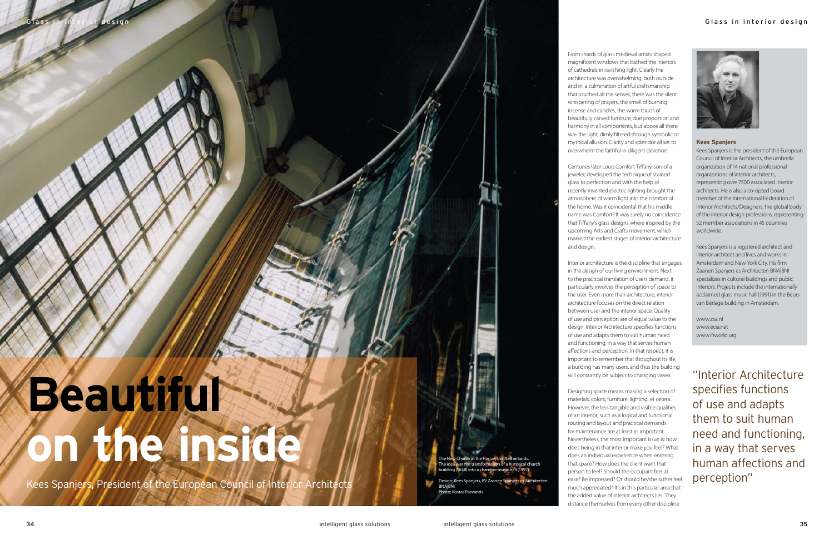From shards of glass medieval artists shaped magnificent windows that bathed the interiors of cathedrals in ravishing light. Clearly the architecture was overwhelming, both outside and in, a culmination of artful craftsmanship that touched all the senses; there was the silent whispering of prayers, the smell of burning incense and candles, the warm touch of beautifully carved furniture, due proportion and harmony in all components, but above all there was the light, dimly filtered through symbolic or mythical allusion. Clarity and splendor all set to overwhelm the faithful in diligent devotion.

Centuries later Louis Comfort Tiffany, son of a jeweler, developed the technique of stained glass to perfection and with the help of recently invented electric lighting brought the atmosphere of warm light into the comfort of the home. Was it coincidental that his middle name was Comfort? It was surely no coincidence that Tiffany's glass designs where inspired by the upcoming Arts and Crafts movement, which marked the earliest stages of interior architecture and design.

Interior architecture is the discipline that engages in the design of our living environment. Next to the practical translation of users demand, it particularly involves the perception of space to the user. Even more than architecture, interior architecture focuses on the direct relation between user and the interior space. Quality of use and perception are of equal value to the design. Interior Architecture specifies functions of use and adapts them to suit human need and functioning, in a way that serves human affections and perception. In that respect, it is important to remember that thoughout its life, a building has many users, and thus the building will constantly be subject to changing views.

The New Church in the Hague, the Netherlands. The idea was the transformation of a historical church l (1648) into a chamber music hall (199 Design: Kees Spanjers, BV Zaanen Spanjers cs Arch



Designing space means making a selection of materials, colors, furniture, lighting, et cetera. However, the less tangible and visible qualities of an interior, such as a logical and functional routing and layout and practical demands for maintenance are at least as important. Nevertheless, the most important issue is: how does being in that interior make you feel? What does an individual experience when entering that space? How does the client want that person to feel? Should the occupant feel at ease? Be impressed? Or should he/she rather feel much appreciated? It's in this particular area that the added value of interior architects lies. They distance themselves from every other discipline

## **Beautiful on the inside**

Kees Spanjers, President of the European Council of Interior Architects

## **Kees Spanjers**

Kees Spanjers is the president of the European Council of Interior Architects, the umbrella organization of 14 national professional organizations of interior architects, representing over 7500 associated interior architects. He is also a co-opted board member of the International Federation of Interior Architects/Designers, the global body of the interior design professions, representing 52 member associations in 45 countries worldwide.

Kees Spanjers is a registered architect and interior-architect and lives and works in Amsterdam and New York City. His firm Zaanen Spanjers cs Architecten BNA|BNI specializes in cultural buildings and public interiors. Projects include the internationally acclaimed glass music hall (1991) in the Beurs van Berlage building in Amsterdam.

www.zsa.nl www.ecia.net www.ifiworld.org

"Interior Architecture specifies functions of use and adapts them to suit human need and functioning, in a way that serves human affections and perception"

BNA|BNI

to: Kostas Pasvanti